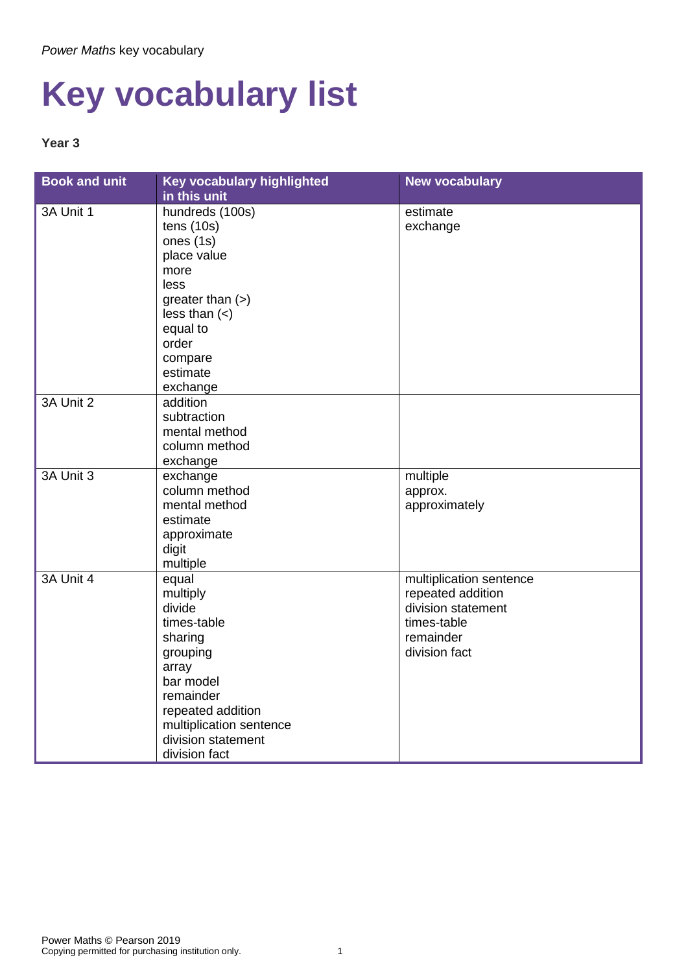## **Key vocabulary list**

## **Year 3**

| <b>Book and unit</b> | Key vocabulary highlighted | <b>New vocabulary</b>   |
|----------------------|----------------------------|-------------------------|
|                      | in this unit               |                         |
| 3A Unit 1            | hundreds (100s)            | estimate                |
|                      | tens(10s)                  | exchange                |
|                      | ones (1s)                  |                         |
|                      | place value                |                         |
|                      | more                       |                         |
|                      | less                       |                         |
|                      | greater than $(>)$         |                         |
|                      | less than $(<)$            |                         |
|                      | equal to                   |                         |
|                      | order                      |                         |
|                      | compare                    |                         |
|                      | estimate                   |                         |
|                      | exchange                   |                         |
| 3A Unit 2            | addition                   |                         |
|                      | subtraction                |                         |
|                      | mental method              |                         |
|                      | column method              |                         |
|                      | exchange                   |                         |
| 3A Unit 3            | exchange                   | multiple                |
|                      | column method              | approx.                 |
|                      | mental method              | approximately           |
|                      | estimate                   |                         |
|                      | approximate                |                         |
|                      | digit                      |                         |
|                      | multiple                   |                         |
| 3A Unit 4            | equal                      | multiplication sentence |
|                      | multiply                   | repeated addition       |
|                      | divide                     | division statement      |
|                      | times-table                | times-table             |
|                      | sharing                    | remainder               |
|                      | grouping                   | division fact           |
|                      | array                      |                         |
|                      | bar model                  |                         |
|                      | remainder                  |                         |
|                      | repeated addition          |                         |
|                      | multiplication sentence    |                         |
|                      | division statement         |                         |
|                      | division fact              |                         |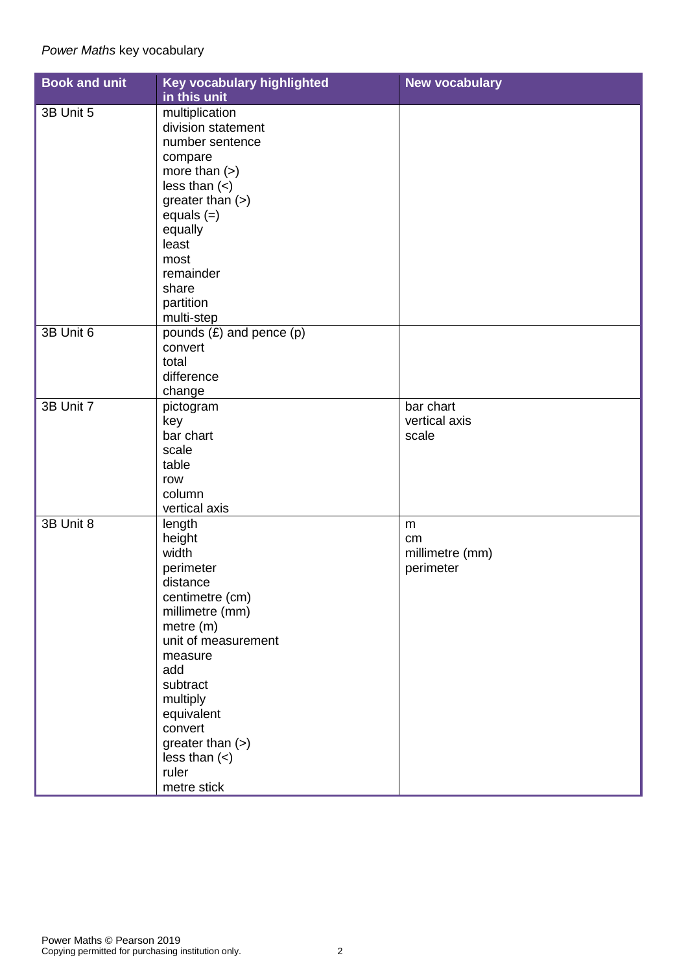## *Power Maths* key vocabulary

| <b>Book and unit</b> | Key vocabulary highlighted   | <b>New vocabulary</b> |
|----------------------|------------------------------|-----------------------|
|                      | in this unit                 |                       |
| 3B Unit 5            | multiplication               |                       |
|                      | division statement           |                       |
|                      | number sentence              |                       |
|                      | compare                      |                       |
|                      | more than $(>)$              |                       |
|                      | less than $(\le)$            |                       |
|                      | greater than (>)             |                       |
|                      | equals $(=)$                 |                       |
|                      | equally                      |                       |
|                      | least                        |                       |
|                      | most                         |                       |
|                      | remainder                    |                       |
|                      | share                        |                       |
|                      |                              |                       |
|                      | partition                    |                       |
|                      | multi-step                   |                       |
| 3B Unit 6            | pounds $(E)$ and pence $(p)$ |                       |
|                      | convert                      |                       |
|                      | total                        |                       |
|                      | difference                   |                       |
|                      | change                       |                       |
| 3B Unit 7            | pictogram                    | bar chart             |
|                      | key                          | vertical axis         |
|                      | bar chart                    | scale                 |
|                      | scale                        |                       |
|                      | table                        |                       |
|                      | row                          |                       |
|                      | column                       |                       |
|                      | vertical axis                |                       |
| 3B Unit 8            | length                       | m                     |
|                      | height                       | cm                    |
|                      | width                        | millimetre (mm)       |
|                      | perimeter                    | perimeter             |
|                      | distance                     |                       |
|                      | centimetre (cm)              |                       |
|                      | millimetre (mm)              |                       |
|                      | metre (m)                    |                       |
|                      | unit of measurement          |                       |
|                      |                              |                       |
|                      | measure<br>add               |                       |
|                      |                              |                       |
|                      | subtract                     |                       |
|                      | multiply                     |                       |
|                      | equivalent                   |                       |
|                      | convert                      |                       |
|                      | greater than $(>)$           |                       |
|                      | less than $(\le)$            |                       |
|                      | ruler                        |                       |
|                      | metre stick                  |                       |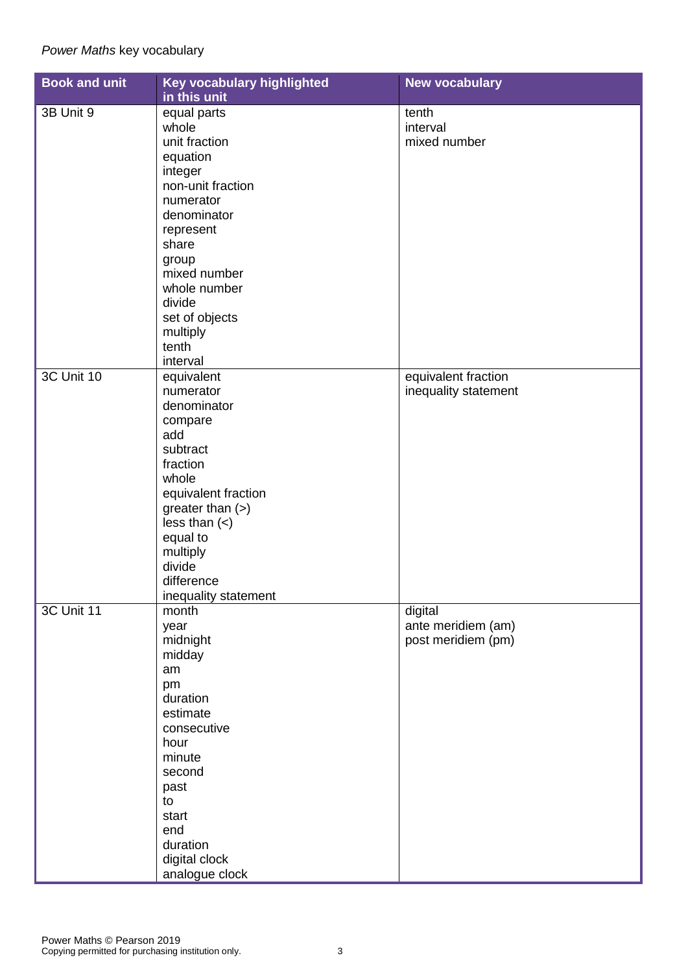| <b>Book and unit</b> | Key vocabulary highlighted<br>in this unit                                                                                                                                                                                                      | <b>New vocabulary</b>                               |
|----------------------|-------------------------------------------------------------------------------------------------------------------------------------------------------------------------------------------------------------------------------------------------|-----------------------------------------------------|
| 3B Unit 9            | equal parts<br>whole<br>unit fraction<br>equation<br>integer<br>non-unit fraction<br>numerator<br>denominator<br>represent<br>share<br>group<br>mixed number<br>whole number<br>divide<br>set of objects<br>multiply<br>tenth                   | tenth<br>interval<br>mixed number                   |
| 3C Unit 10           | interval<br>equivalent<br>numerator<br>denominator<br>compare<br>add<br>subtract<br>fraction<br>whole<br>equivalent fraction<br>greater than $(>)$<br>less than $(\le)$<br>equal to<br>multiply<br>divide<br>difference<br>inequality statement | equivalent fraction<br>inequality statement         |
| <b>3C Unit 11</b>    | month<br>year<br>midnight<br>midday<br>am<br>pm<br>duration<br>estimate<br>consecutive<br>hour<br>minute<br>second<br>past<br>to<br>start<br>end<br>duration<br>digital clock<br>analogue clock                                                 | digital<br>ante meridiem (am)<br>post meridiem (pm) |